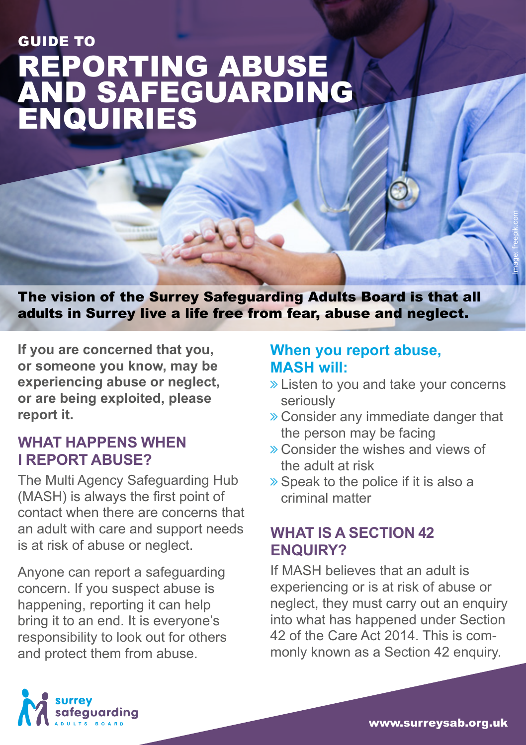# REPORTING ABUSE AND SAFEGUARDING ENQUIRIES GUIDE TO

The vision of the Surrey Safeguarding Adults Board is that all adults in Surrey live a life free from fear, abuse and neglect.

**If you are concerned that you, or someone you know, may be experiencing abuse or neglect, or are being exploited, please report it.** 

### **WHAT HAPPENS WHEN I REPORT ABUSE?**

The Multi Agency Safeguarding Hub (MASH) is always the first point of contact when there are concerns that an adult with care and support needs is at risk of abuse or neglect.

Anyone can report a safeguarding concern. If you suspect abuse is happening, reporting it can help bring it to an end. It is everyone's responsibility to look out for others and protect them from abuse.

#### **When you report abuse, MASH will:**

**»** Listen to you and take your concerns seriously

Image: freepik.com

- ò Consider any immediate danger that the person may be facing
- ò Consider the wishes and views of the adult at risk
- $\gg$  Speak to the police if it is also a criminal matter

## **WHAT IS A SECTION 42 ENQUIRY?**

If MASH believes that an adult is experiencing or is at risk of abuse or neglect, they must carry out an enquiry into what has happened under Section 42 of the Care Act 2014. This is commonly known as a Section 42 enquiry.